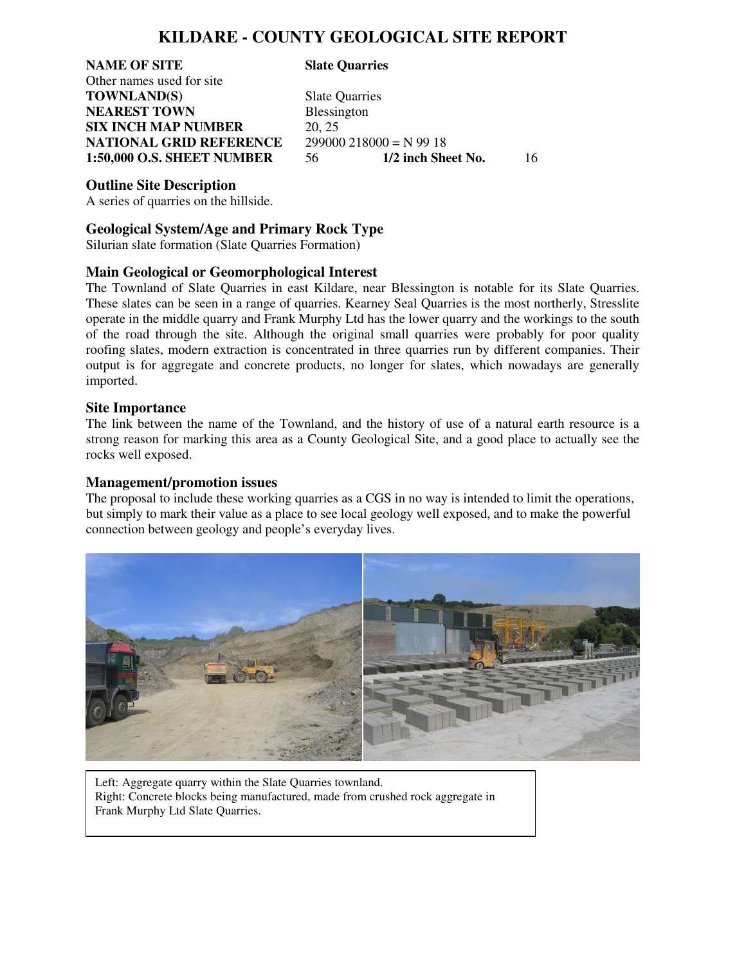## **KILDARE - COUNTY GEOLOGICAL SITE REPORT**

**NAME OF SITE Slate Quarries**  Other names used for site **TOWNLAND(S)** Slate Quarries **NEAREST TOWN** Blessington **SIX INCH MAP NUMBER** 20, 25 **NATIONAL GRID REFERENCE** 299000 218000 = N 99 18<br>1:50,000 O.S. SHEET NUMBER 56 1/2 inch Sheet No.

**1:50,000 O.S. SHEET NUMBER** 56 **1/2 inch Sheet No.** 16

#### **Outline Site Description**

A series of quarries on the hillside.

#### **Geological System/Age and Primary Rock Type**

Silurian slate formation (Slate Quarries Formation)

### **Main Geological or Geomorphological Interest**

The Townland of Slate Quarries in east Kildare, near Blessington is notable for its Slate Quarries. These slates can be seen in a range of quarries. Kearney Seal Quarries is the most northerly, Stresslite operate in the middle quarry and Frank Murphy Ltd has the lower quarry and the workings to the south of the road through the site. Although the original small quarries were probably for poor quality roofing slates, modern extraction is concentrated in three quarries run by different companies. Their output is for aggregate and concrete products, no longer for slates, which nowadays are generally imported.

#### **Site Importance**

The link between the name of the Townland, and the history of use of a natural earth resource is a strong reason for marking this area as a County Geological Site, and a good place to actually see the rocks well exposed.

#### **Management/promotion issues**

The proposal to include these working quarries as a CGS in no way is intended to limit the operations, but simply to mark their value as a place to see local geology well exposed, and to make the powerful connection between geology and people's everyday lives.



 Left: Aggregate quarry within the Slate Quarries townland. Right: Concrete blocks being manufactured, made from crushed rock aggregate in Frank Murphy Ltd Slate Quarries.